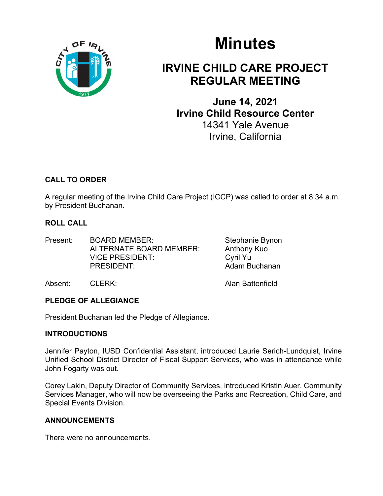

# Minutes

## IRVINE CHILD CARE PROJECT REGULAR MEETING

June 14, 2021 Irvine Child Resource Center 14341 Yale Avenue Irvine, California

## CALL TO ORDER

A regular meeting of the Irvine Child Care Project (ICCP) was called to order at 8:34 a.m. by President Buchanan.

## ROLL CALL

Present: BOARD MEMBER: Stephanie Bynon ALTERNATE BOARD MEMBER: Anthony Kuo VICE PRESIDENT: Cyril Yu PRESIDENT: Adam Buchanan

Absent: CLERK: Alan Battenfield

## PLEDGE OF ALLEGIANCE

President Buchanan led the Pledge of Allegiance.

## INTRODUCTIONS

Jennifer Payton, IUSD Confidential Assistant, introduced Laurie Serich-Lundquist, Irvine Unified School District Director of Fiscal Support Services, who was in attendance while John Fogarty was out.

Corey Lakin, Deputy Director of Community Services, introduced Kristin Auer, Community Services Manager, who will now be overseeing the Parks and Recreation, Child Care, and Special Events Division.

## ANNOUNCEMENTS

There were no announcements.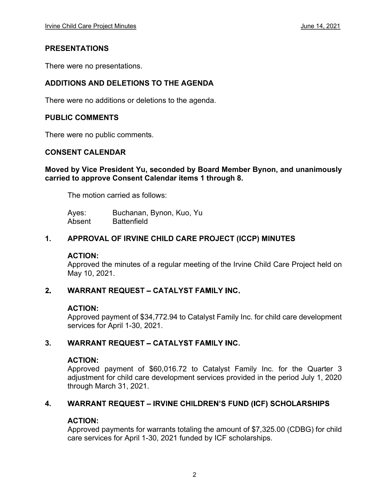#### PRESENTATIONS

There were no presentations.

#### ADDITIONS AND DELETIONS TO THE AGENDA

There were no additions or deletions to the agenda.

#### PUBLIC COMMENTS

There were no public comments.

#### CONSENT CALENDAR

#### Moved by Vice President Yu, seconded by Board Member Bynon, and unanimously carried to approve Consent Calendar items 1 through 8.

The motion carried as follows:

Ayes: Buchanan, Bynon, Kuo, Yu Absent Battenfield

#### 1. APPROVAL OF IRVINE CHILD CARE PROJECT (ICCP) MINUTES

#### ACTION:

Approved the minutes of a regular meeting of the Irvine Child Care Project held on May 10, 2021.

#### **WARRANT REQUEST - CATALYST FAMILY INC.**  $2<sub>1</sub>$

#### ACTION:

Approved payment of \$34,772.94 to Catalyst Family Inc. for child care development services for April 1-30, 2021.

#### 3. **WARRANT REQUEST - CATALYST FAMILY INC.**

#### ACTION:

Approved payment of \$60,016.72 to Catalyst Family Inc. for the Quarter 3 adjustment for child care development services provided in the period July 1, 2020 through March 31, 2021.

#### 4. **WARRANT REQUEST - IRVINE CHILDREN'S FUND (ICF) SCHOLARSHIPS**

#### ACTION:

Approved payments for warrants totaling the amount of \$7,325.00 (CDBG) for child care services for April 1-30, 2021 funded by ICF scholarships.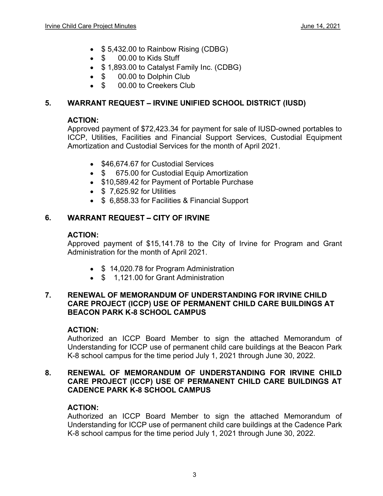- \$5,432.00 to Rainbow Rising (CDBG)
- \$ 00.00 to Kids Stuff
- \$1,893.00 to Catalyst Family Inc. (CDBG)
- \$ 00.00 to Dolphin Club
- \$ 00.00 to Creekers Club

#### 5. WARRANT REQUEST - IRVINE UNIFIED SCHOOL DISTRICT (IUSD)

#### ACTION:

Approved payment of \$72,423.34 for payment for sale of IUSD-owned portables to ICCP, Utilities, Facilities and Financial Support Services, Custodial Equipment Amortization and Custodial Services for the month of April 2021.

- \$46,674,67 for Custodial Services
- \$ 675.00 for Custodial Equip Amortization
- \$10,589.42 for Payment of Portable Purchase
- $\bullet$  \$ 7.625.92 for Utilities
- **S** 6,858.33 for Facilities & Financial Support

#### **WARRANT REQUEST - CITY OF IRVINE** 6.

#### ACTION:

Approved payment of \$15,141.78 to the City of Irvine for Program and Grant Administration for the month of April 2021.

- \$14,020.78 for Program Administration
- \$ 1,121,00 for Grant Administration

#### 7. RENEWAL OF MEMORANDUM OF UNDERSTANDING FOR IRVINE CHILD CARE PROJECT (ICCP) USE OF PERMANENT CHILD CARE BUILDINGS AT BEACON PARK K-8 SCHOOL CAMPUS

#### ACTION:

Authorized an ICCP Board Member to sign the attached Memorandum of Understanding for ICCP use of permanent child care buildings at the Beacon Park K-8 school campus for the time period July 1, 2021 through June 30, 2022.

#### 8. RENEWAL OF MEMORANDUM OF UNDERSTANDING FOR IRVINE CHILD CARE PROJECT (ICCP) USE OF PERMANENT CHILD CARE BUILDINGS AT CADENCE PARK K-8 SCHOOL CAMPUS

## ACTION:

Authorized an ICCP Board Member to sign the attached Memorandum of Understanding for ICCP use of permanent child care buildings at the Cadence Park K-8 school campus for the time period July 1, 2021 through June 30, 2022.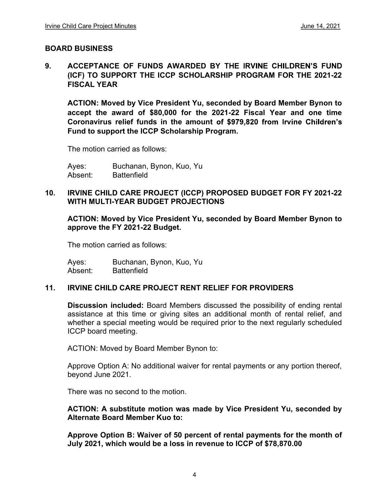#### BOARD BUSINESS

9. ACCEPTANCE OF FUNDS AWARDED BY THE IRVINE CHILDREN'S FUND (ICF) TO SUPPORT THE ICCP SCHOLARSHIP PROGRAM FOR THE 2021-22 FISCAL YEAR

 ACTION: Moved by Vice President Yu, seconded by Board Member Bynon to accept the award of \$80,000 for the 2021-22 Fiscal Year and one time Coronavirus relief funds in the amount Fund to support the ICCP Scholarship Program.

The motion carried as follows:

Ayes: Buchanan, Bynon, Kuo, Yu Absent: Battenfield

#### 10. IRVINE CHILD CARE PROJECT (ICCP) PROPOSED BUDGET FOR FY 2021-22 WITH MULTI-YEAR BUDGET PROJECTIONS

ACTION: Moved by Vice President Yu, seconded by Board Member Bynon to approve the FY 2021-22 Budget.

The motion carried as follows:

Ayes: Buchanan, Bynon, Kuo, Yu Absent: Battenfield

#### 11. IRVINE CHILD CARE PROJECT RENT RELIEF FOR PROVIDERS

Discussion included: Board Members discussed the possibility of ending rental assistance at this time or giving sites an additional month of rental relief, and whether a special meeting would be required prior to the next regularly scheduled ICCP board meeting.

ACTION: Moved by Board Member Bynon to:

Approve Option A: No additional waiver for rental payments or any portion thereof, beyond June 2021.

There was no second to the motion.

ACTION: A substitute motion was made by Vice President Yu, seconded by Alternate Board Member Kuo to:

Approve Option B: Waiver of 50 percent of rental payments for the month of July 2021, which would be a loss in revenue to ICCP of \$78,870.00